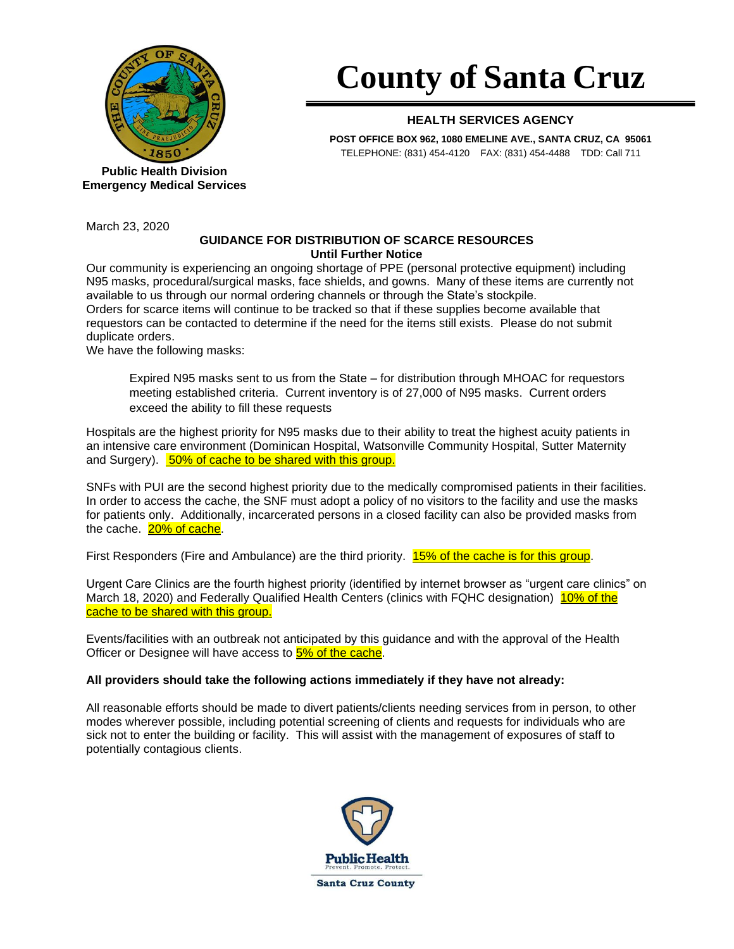

**Public Health Division Emergency Medical Services**

March 23, 2020

## **County of Santa Cruz**

## **HEALTH SERVICES AGENCY**

**POST OFFICE BOX 962, 1080 EMELINE AVE., SANTA CRUZ, CA 95061** TELEPHONE: (831) 454-4120 FAX: (831) 454-4488 TDD: Call 711

## **GUIDANCE FOR DISTRIBUTION OF SCARCE RESOURCES Until Further Notice**

Our community is experiencing an ongoing shortage of PPE (personal protective equipment) including N95 masks, procedural/surgical masks, face shields, and gowns. Many of these items are currently not available to us through our normal ordering channels or through the State's stockpile. Orders for scarce items will continue to be tracked so that if these supplies become available that requestors can be contacted to determine if the need for the items still exists. Please do not submit duplicate orders.

We have the following masks:

Expired N95 masks sent to us from the State – for distribution through MHOAC for requestors meeting established criteria. Current inventory is of 27,000 of N95 masks. Current orders exceed the ability to fill these requests

Hospitals are the highest priority for N95 masks due to their ability to treat the highest acuity patients in an intensive care environment (Dominican Hospital, Watsonville Community Hospital, Sutter Maternity and Surgery). 50% of cache to be shared with this group.

SNFs with PUI are the second highest priority due to the medically compromised patients in their facilities. In order to access the cache, the SNF must adopt a policy of no visitors to the facility and use the masks for patients only. Additionally, incarcerated persons in a closed facility can also be provided masks from the cache. 20% of cache.

First Responders (Fire and Ambulance) are the third priority. 15% of the cache is for this group.

Urgent Care Clinics are the fourth highest priority (identified by internet browser as "urgent care clinics" on March 18, 2020) and Federally Qualified Health Centers (clinics with FQHC designation) 10% of the cache to be shared with this group.

Events/facilities with an outbreak not anticipated by this guidance and with the approval of the Health Officer or Designee will have access to **5% of the cache**.

## **All providers should take the following actions immediately if they have not already:**

All reasonable efforts should be made to divert patients/clients needing services from in person, to other modes wherever possible, including potential screening of clients and requests for individuals who are sick not to enter the building or facility. This will assist with the management of exposures of staff to potentially contagious clients.